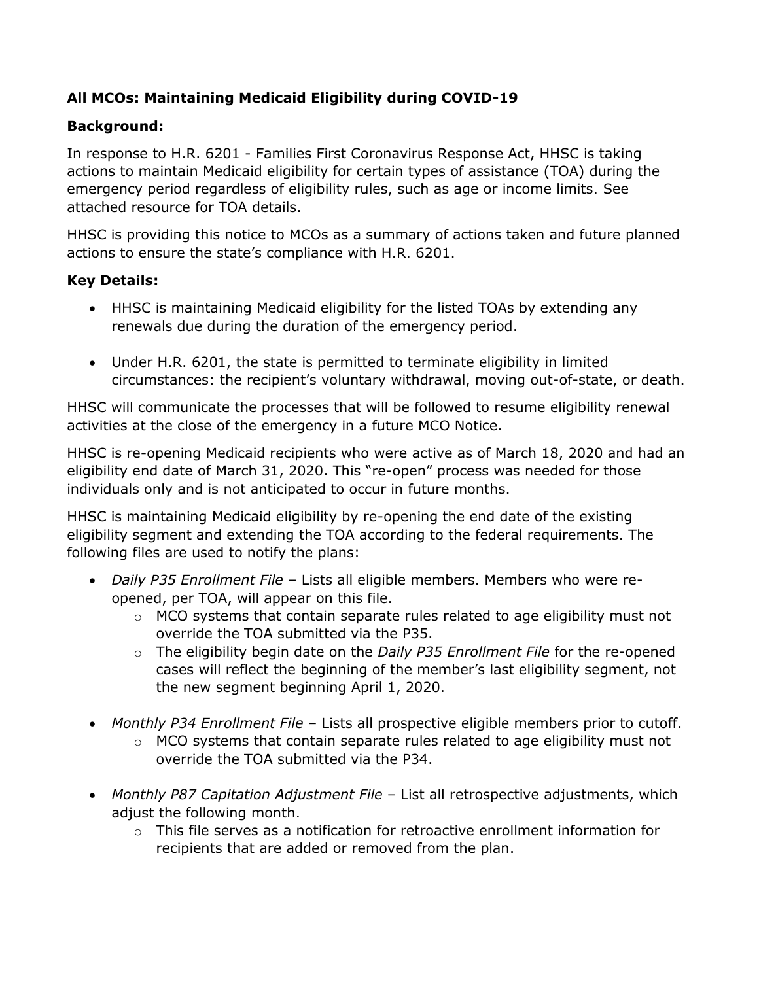# **All MCOs: Maintaining Medicaid Eligibility during COVID-19**

## **Background:**

In response to H.R. 6201 - Families First Coronavirus Response Act, HHSC is taking actions to maintain Medicaid eligibility for certain types of assistance (TOA) during the emergency period regardless of eligibility rules, such as age or income limits. See attached resource for TOA details.

HHSC is providing this notice to MCOs as a summary of actions taken and future planned actions to ensure the state's compliance with H.R. 6201.

## **Key Details:**

- HHSC is maintaining Medicaid eligibility for the listed TOAs by extending any renewals due during the duration of the emergency period.
- Under H.R. 6201, the state is permitted to terminate eligibility in limited circumstances: the recipient's voluntary withdrawal, moving out-of-state, or death.

HHSC will communicate the processes that will be followed to resume eligibility renewal activities at the close of the emergency in a future MCO Notice.

HHSC is re-opening Medicaid recipients who were active as of March 18, 2020 and had an eligibility end date of March 31, 2020. This "re-open" process was needed for those individuals only and is not anticipated to occur in future months.

HHSC is maintaining Medicaid eligibility by re-opening the end date of the existing eligibility segment and extending the TOA according to the federal requirements. The following files are used to notify the plans:

- *Daily P35 Enrollment File* Lists all eligible members. Members who were reopened, per TOA, will appear on this file.
	- $\circ$  MCO systems that contain separate rules related to age eligibility must not override the TOA submitted via the P35.
	- o The eligibility begin date on the *Daily P35 Enrollment File* for the re-opened cases will reflect the beginning of the member's last eligibility segment, not the new segment beginning April 1, 2020.
- *Monthly P34 Enrollment File* Lists all prospective eligible members prior to cutoff.
	- $\circ$  MCO systems that contain separate rules related to age eligibility must not override the TOA submitted via the P34.
- *Monthly P87 Capitation Adjustment File* List all retrospective adjustments, which adjust the following month.
	- $\circ$  This file serves as a notification for retroactive enrollment information for recipients that are added or removed from the plan.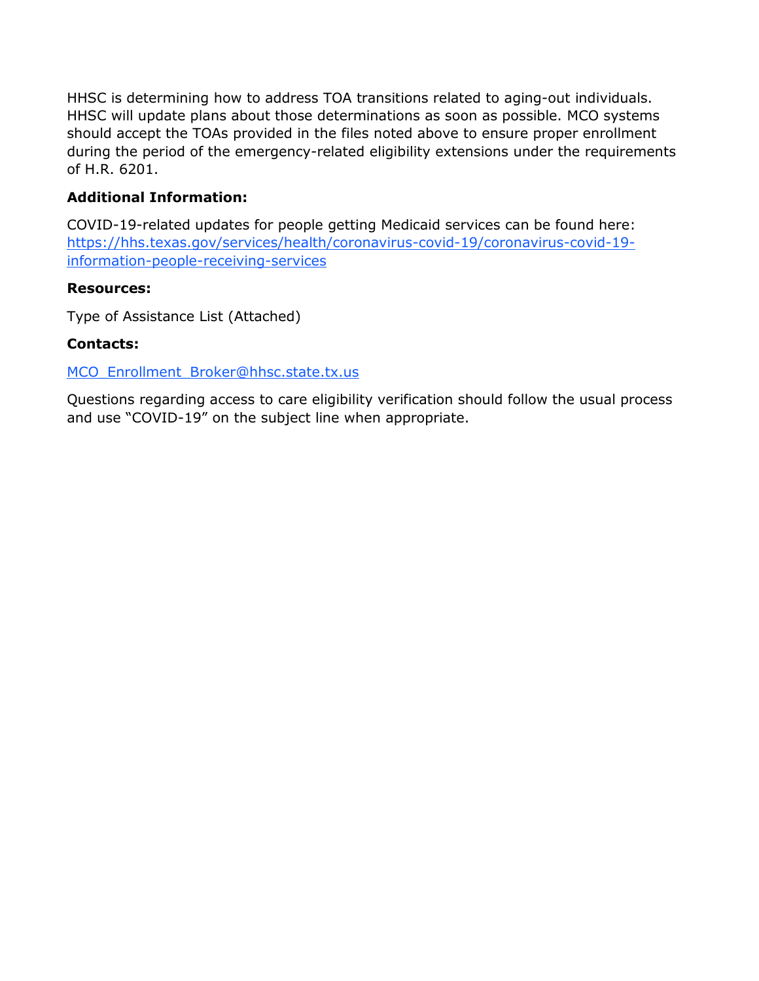HHSC is determining how to address TOA transitions related to aging-out individuals. HHSC will update plans about those determinations as soon as possible. MCO systems should accept the TOAs provided in the files noted above to ensure proper enrollment during the period of the emergency-related eligibility extensions under the requirements of H.R. 6201.

## **Additional Information:**

COVID-19-related updates for people getting Medicaid services can be found here: [https://hhs.texas.gov/services/health/coronavirus-covid-19/coronavirus-covid-19](https://hhs.texas.gov/services/health/coronavirus-covid-19/coronavirus-covid-19-information-people-receiving-services) [information-people-receiving-services](https://hhs.texas.gov/services/health/coronavirus-covid-19/coronavirus-covid-19-information-people-receiving-services)

### **Resources:**

Type of Assistance List (Attached)

### **Contacts:**

MCO\_Enrollment\_Broker@hhsc.state.tx.us

Questions regarding access to care eligibility verification should follow the usual process and use "COVID-19" on the subject line when appropriate.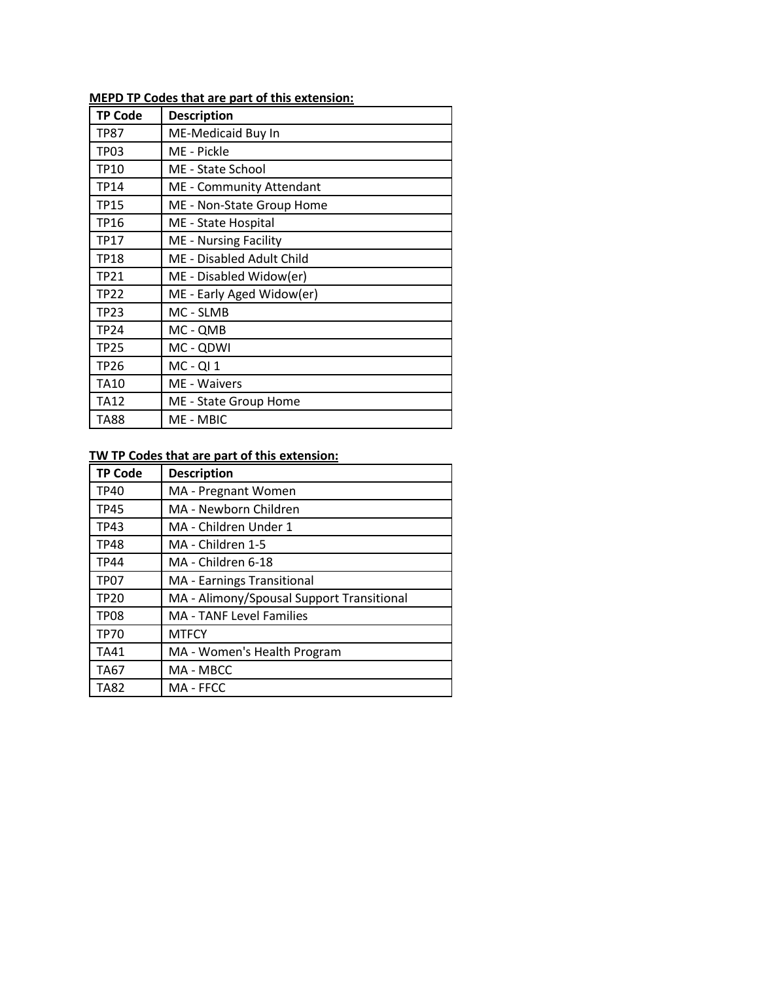# **MEPD TP Codes that are part of this extension:**

| <b>TP Code</b> | <b>Description</b>           |
|----------------|------------------------------|
| TP87           | ME-Medicaid Buy In           |
| TP03           | ME - Pickle                  |
| <b>TP10</b>    | ME - State School            |
| <b>TP14</b>    | ME - Community Attendant     |
| <b>TP15</b>    | ME - Non-State Group Home    |
| <b>TP16</b>    | ME - State Hospital          |
| TP17           | <b>ME</b> - Nursing Facility |
| <b>TP18</b>    | ME - Disabled Adult Child    |
| <b>TP21</b>    | ME - Disabled Widow(er)      |
| <b>TP22</b>    | ME - Early Aged Widow(er)    |
| <b>TP23</b>    | MC - SLMB                    |
| <b>TP24</b>    | MC - QMB                     |
| <b>TP25</b>    | MC - QDWI                    |
| <b>TP26</b>    | $MC - QI$ 1                  |
| <b>TA10</b>    | ME - Waivers                 |
| <b>TA12</b>    | ME - State Group Home        |
| TA88           | ME - MBIC                    |

### **TW TP Codes that are part of this extension:**

| <b>TP Code</b>   | <b>Description</b>                        |
|------------------|-------------------------------------------|
| TP40             | MA - Pregnant Women                       |
| <b>TP45</b>      | MA - Newborn Children                     |
| TP43             | MA - Children Under 1                     |
| TP48             | MA - Children 1-5                         |
| <b>TP44</b>      | MA - Children 6-18                        |
| <b>TP07</b>      | <b>MA</b> - Earnings Transitional         |
| TP <sub>20</sub> | MA - Alimony/Spousal Support Transitional |
| TP08             | <b>MA - TANF Level Families</b>           |
| <b>TP70</b>      | <b>MTFCY</b>                              |
| <b>TA41</b>      | MA - Women's Health Program               |
| TA67             | MA - MBCC                                 |
| TA82             | MA - FFCC                                 |